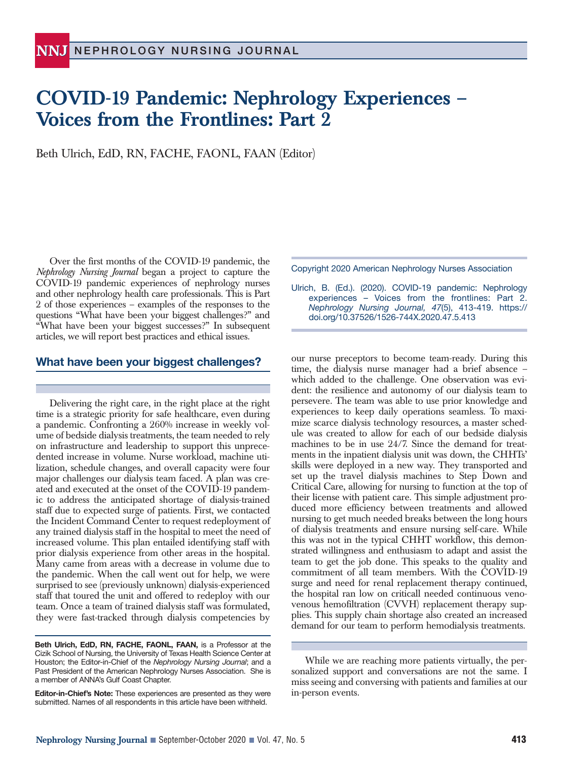## **COVID-19 Pandemic: Nephrology Experiences – Voices from the Frontlines: Part 2**

Beth Ulrich, EdD, RN, FACHE, FAONL, FAAN (Editor)

Over the first months of the COVID-19 pandemic, the *Nephrology Nursing Journal* began a project to capture the COVID-19 pandemic experiences of nephrology nurses and other nephrology health care professionals. This is Part 2 of those experiences – examples of the responses to the questions "What have been your biggest challenges?" and "What have been your biggest successes?" In subsequent articles, we will report best practices and ethical issues.

## **What have been your biggest challenges?**

Delivering the right care, in the right place at the right time is a strategic priority for safe healthcare, even during a pandemic. Confronting a 260% increase in weekly volume of bedside dialysis treatments, the team needed to rely on infrastructure and leadership to support this unprecedented increase in volume. Nurse workload, machine utilization, schedule changes, and overall capacity were four major challenges our dialysis team faced. A plan was created and executed at the onset of the COVID-19 pandemic to address the anticipated shortage of dialysis-trained staff due to expected surge of patients. First, we contacted the Incident Command Center to request redeployment of any trained dialysis staff in the hospital to meet the need of increased volume. This plan entailed identifying staff with prior dialysis experience from other areas in the hospital. Many came from areas with a decrease in volume due to the pandemic. When the call went out for help, we were surprised to see (previously unknown) dialysis-experienced staff that toured the unit and offered to redeploy with our team. Once a team of trained dialysis staff was formulated, they were fast-tracked through dialysis competencies by Copyright 2020 American Nephrology Nurses Association

Ulrich, B. (Ed.). (2020). COVID-19 pandemic: Nephrology experiences – Voices from the frontlines: Part 2. *Nephrology Nursing Journal, 47*(5), 413-419. https:// doi.org/10.37526/1526-744X.2020.47.5.413

our nurse preceptors to become team-ready. During this time, the dialysis nurse manager had a brief absence – which added to the challenge. One observation was evident: the resilience and autonomy of our dialysis team to persevere. The team was able to use prior knowledge and experiences to keep daily operations seamless. To maximize scarce dialysis technology resources, a master schedule was created to allow for each of our bedside dialysis machines to be in use 24/7. Since the demand for treatments in the inpatient dialysis unit was down, the CHHTs' skills were deployed in a new way. They transported and set up the travel dialysis machines to Step Down and Critical Care, allowing for nursing to function at the top of their license with patient care. This simple adjustment produced more efficiency between treatments and allowed nursing to get much needed breaks between the long hours of dialysis treatments and ensure nursing self-care. While this was not in the typical CHHT workflow, this demonstrated willingness and enthusiasm to adapt and assist the team to get the job done. This speaks to the quality and commitment of all team members. With the COVID-19 surge and need for renal replacement therapy continued, the hospital ran low on criticall needed continuous venovenous hemofiltration (CVVH) replacement therapy supplies. This supply chain shortage also created an increased demand for our team to perform hemodialysis treatments.

**Beth Ulrich, EdD, RN, FACHE, FAONL, FAAN,** is a Professor at the Cizik School of Nursing, the University of Texas Health Science Center at Houston; the Editor-in-Chief of the *Nephrology Nursing Journal*; and a Past President of the American Nephrology Nurses Association. She is a member of ANNA's Gulf Coast Chapter.

**Editor-in-Chief's Note:** These experiences are presented as they were submitted. Names of all respondents in this article have been withheld.

While we are reaching more patients virtually, the personalized support and conversations are not the same. I miss seeing and conversing with patients and families at our in-person events.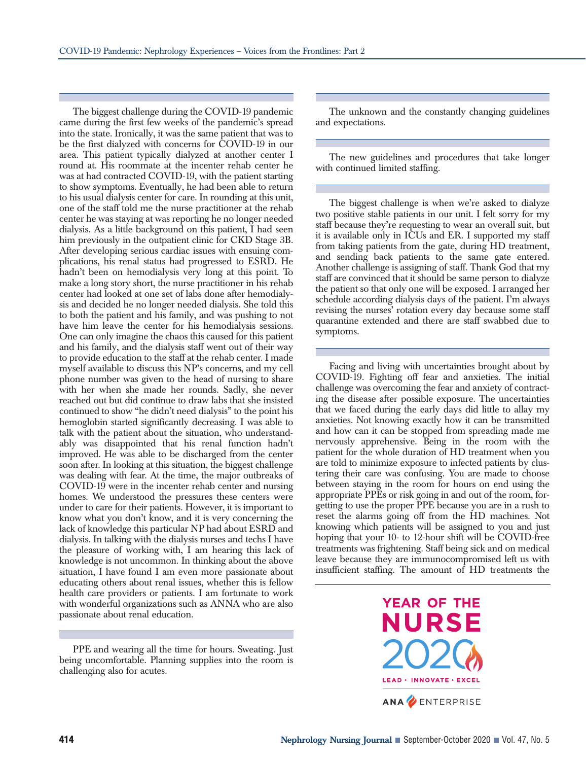The biggest challenge during the COVID-19 pandemic came during the first few weeks of the pandemic's spread into the state. Ironically, it was the same patient that was to be the first dialyzed with concerns for COVID-19 in our area. This patient typically dialyzed at another center I round at. His roommate at the incenter rehab center he was at had contracted COVID-19, with the patient starting to show symptoms. Eventually, he had been able to return to his usual dialysis center for care. In rounding at this unit, one of the staff told me the nurse practitioner at the rehab center he was staying at was reporting he no longer needed dialysis. As a little background on this patient, I had seen him previously in the outpatient clinic for CKD Stage 3B. After developing serious cardiac issues with ensuing complications, his renal status had progressed to ESRD. He hadn't been on hemodialysis very long at this point. To make a long story short, the nurse practitioner in his rehab center had looked at one set of labs done after hemodialysis and decided he no longer needed dialysis. She told this to both the patient and his family, and was pushing to not have him leave the center for his hemodialysis sessions. One can only imagine the chaos this caused for this patient and his family, and the dialysis staff went out of their way to provide education to the staff at the rehab center. I made myself available to discuss this NP's concerns, and my cell phone number was given to the head of nursing to share with her when she made her rounds. Sadly, she never reached out but did continue to draw labs that she insisted continued to show "he didn't need dialysis" to the point his hemoglobin started significantly decreasing. I was able to talk with the patient about the situation, who understandably was disappointed that his renal function hadn't improved. He was able to be discharged from the center soon after. In looking at this situation, the biggest challenge was dealing with fear. At the time, the major outbreaks of COVID-19 were in the incenter rehab center and nursing homes. We understood the pressures these centers were under to care for their patients. However, it is important to know what you don't know, and it is very concerning the lack of knowledge this particular NP had about ESRD and dialysis. In talking with the dialysis nurses and techs I have the pleasure of working with, I am hearing this lack of knowledge is not uncommon. In thinking about the above situation, I have found I am even more passionate about educating others about renal issues, whether this is fellow health care providers or patients. I am fortunate to work with wonderful organizations such as ANNA who are also passionate about renal education.

PPE and wearing all the time for hours. Sweating. Just being uncomfortable. Planning supplies into the room is challenging also for acutes.

The unknown and the constantly changing guidelines and expectations.

The new guidelines and procedures that take longer with continued limited staffing.

The biggest challenge is when we're asked to dialyze two positive stable patients in our unit. I felt sorry for my staff because they're requesting to wear an overall suit, but it is available only in ICUs and ER. I supported my staff from taking patients from the gate, during HD treatment, and sending back patients to the same gate entered. Another challenge is assigning of staff. Thank God that my staff are convinced that it should be same person to dialyze the patient so that only one will be exposed. I arranged her schedule according dialysis days of the patient. I'm always revising the nurses' rotation every day because some staff quarantine extended and there are staff swabbed due to symptoms.

Facing and living with uncertainties brought about by COVID-19. Fighting off fear and anxieties. The initial challenge was overcoming the fear and anxiety of contracting the disease after possible exposure. The uncertainties that we faced during the early days did little to allay my anxieties. Not knowing exactly how it can be transmitted and how can it can be stopped from spreading made me nervously apprehensive. Being in the room with the patient for the whole duration of HD treatment when you are told to minimize exposure to infected patients by clustering their care was confusing. You are made to choose between staying in the room for hours on end using the appropriate PPEs or risk going in and out of the room, forgetting to use the proper PPE because you are in a rush to reset the alarms going off from the HD machines. Not knowing which patients will be assigned to you and just hoping that your 10- to 12-hour shift will be COVID-free treatments was frightening. Staff being sick and on medical leave because they are immunocompromised left us with insufficient staffing. The amount of HD treatments the

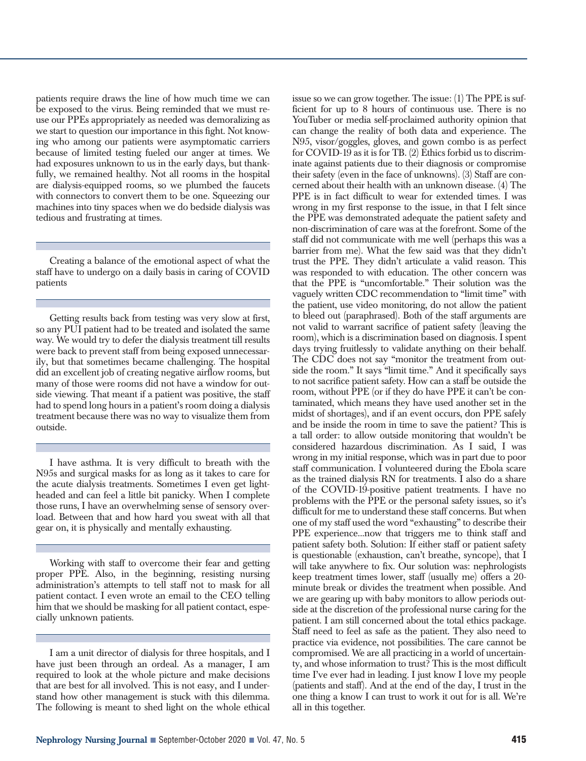patients require draws the line of how much time we can be exposed to the virus. Being reminded that we must reuse our PPEs appropriately as needed was demoralizing as we start to question our importance in this fight. Not knowing who among our patients were asymptomatic carriers because of limited testing fueled our anger at times. We had exposures unknown to us in the early days, but thankfully, we remained healthy. Not all rooms in the hospital are dialysis-equipped rooms, so we plumbed the faucets with connectors to convert them to be one. Squeezing our machines into tiny spaces when we do bedside dialysis was tedious and frustrating at times.

Creating a balance of the emotional aspect of what the staff have to undergo on a daily basis in caring of COVID patients

Getting results back from testing was very slow at first, so any PUI patient had to be treated and isolated the same way. We would try to defer the dialysis treatment till results were back to prevent staff from being exposed unnecessarily, but that sometimes became challenging. The hospital did an excellent job of creating negative airflow rooms, but many of those were rooms did not have a window for outside viewing. That meant if a patient was positive, the staff had to spend long hours in a patient's room doing a dialysis treatment because there was no way to visualize them from outside.

I have asthma. It is very difficult to breath with the N95s and surgical masks for as long as it takes to care for the acute dialysis treatments. Sometimes I even get lightheaded and can feel a little bit panicky. When I complete those runs, I have an overwhelming sense of sensory overload. Between that and how hard you sweat with all that gear on, it is physically and mentally exhausting.

Working with staff to overcome their fear and getting proper PPE. Also, in the beginning, resisting nursing administration's attempts to tell staff not to mask for all patient contact. I even wrote an email to the CEO telling him that we should be masking for all patient contact, especially unknown patients.

I am a unit director of dialysis for three hospitals, and I have just been through an ordeal. As a manager, I am required to look at the whole picture and make decisions that are best for all involved. This is not easy, and I understand how other management is stuck with this dilemma. The following is meant to shed light on the whole ethical issue so we can grow together. The issue: (1) The PPE is sufficient for up to 8 hours of continuous use. There is no YouTuber or media self-proclaimed authority opinion that can change the reality of both data and experience. The N95, visor/goggles, gloves, and gown combo is as perfect for COVID-19 as it is for TB. (2) Ethics forbid us to discriminate against patients due to their diagnosis or compromise their safety (even in the face of unknowns). (3) Staff are concerned about their health with an unknown disease. (4) The PPE is in fact difficult to wear for extended times. I was wrong in my first response to the issue, in that I felt since the PPE was demonstrated adequate the patient safety and non-discrimination of care was at the forefront. Some of the staff did not communicate with me well (perhaps this was a barrier from me). What the few said was that they didn't trust the PPE. They didn't articulate a valid reason. This was responded to with education. The other concern was that the PPE is "uncomfortable." Their solution was the vaguely written CDC recommendation to "limit time" with the patient, use video monitoring, do not allow the patient to bleed out (paraphrased). Both of the staff arguments are not valid to warrant sacrifice of patient safety (leaving the room), which is a discrimination based on diagnosis. I spent days trying fruitlessly to validate anything on their behalf. The CDC does not say "monitor the treatment from outside the room." It says "limit time." And it specifically says to not sacrifice patient safety. How can a staff be outside the room, without PPE (or if they do have PPE it can't be contaminated, which means they have used another set in the midst of shortages), and if an event occurs, don PPE safely and be inside the room in time to save the patient? This is a tall order: to allow outside monitoring that wouldn't be considered hazardous discrimination. As I said, I was wrong in my initial response, which was in part due to poor staff communication. I volunteered during the Ebola scare as the trained dialysis RN for treatments. I also do a share of the COVID-19-positive patient treatments. I have no problems with the PPE or the personal safety issues, so it's difficult for me to understand these staff concerns. But when one of my staff used the word "exhausting" to describe their PPE experience...now that triggers me to think staff and patient safety both. Solution: If either staff or patient safety is questionable (exhaustion, can't breathe, syncope), that I will take anywhere to fix. Our solution was: nephrologists keep treatment times lower, staff (usually me) offers a 20 minute break or divides the treatment when possible. And we are gearing up with baby monitors to allow periods outside at the discretion of the professional nurse caring for the patient. I am still concerned about the total ethics package. Staff need to feel as safe as the patient. They also need to practice via evidence, not possibilities. The care cannot be compromised. We are all practicing in a world of uncertainty, and whose information to trust? This is the most difficult time I've ever had in leading. I just know I love my people (patients and staff). And at the end of the day, I trust in the one thing a know I can trust to work it out for is all. We're all in this together.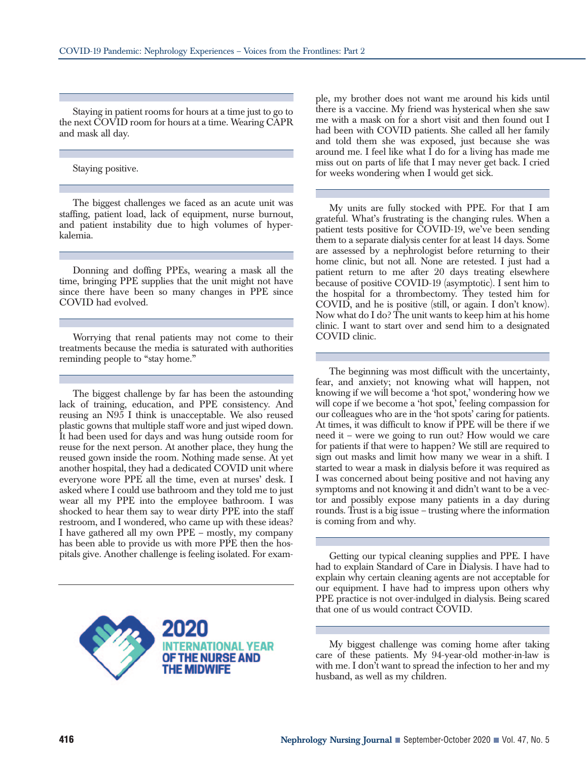Staying in patient rooms for hours at a time just to go to the next COVID room for hours at a time. Wearing CAPR and mask all day.

Staying positive.

The biggest challenges we faced as an acute unit was staffing, patient load, lack of equipment, nurse burnout, and patient instability due to high volumes of hyperkalemia.

Donning and doffing PPEs, wearing a mask all the time, bringing PPE supplies that the unit might not have since there have been so many changes in PPE since COVID had evolved.

Worrying that renal patients may not come to their treatments because the media is saturated with authorities reminding people to "stay home."

The biggest challenge by far has been the astounding lack of training, education, and PPE consistency. And reusing an N95 I think is unacceptable. We also reused plastic gowns that multiple staff wore and just wiped down. It had been used for days and was hung outside room for reuse for the next person. At another place, they hung the reused gown inside the room. Nothing made sense. At yet another hospital, they had a dedicated COVID unit where everyone wore PPE all the time, even at nurses' desk. I asked where I could use bathroom and they told me to just wear all my PPE into the employee bathroom. I was shocked to hear them say to wear dirty PPE into the staff restroom, and I wondered, who came up with these ideas? I have gathered all my own PPE – mostly, my company has been able to provide us with more PPE then the hospitals give. Another challenge is feeling isolated. For exam-



ple, my brother does not want me around his kids until there is a vaccine. My friend was hysterical when she saw me with a mask on for a short visit and then found out I had been with COVID patients. She called all her family and told them she was exposed, just because she was around me. I feel like what I do for a living has made me miss out on parts of life that I may never get back. I cried for weeks wondering when I would get sick.

My units are fully stocked with PPE. For that I am grateful. What's frustrating is the changing rules. When a patient tests positive for COVID-19, we've been sending them to a separate dialysis center for at least 14 days. Some are assessed by a nephrologist before returning to their home clinic, but not all. None are retested. I just had a patient return to me after 20 days treating elsewhere because of positive COVID-19 (asymptotic). I sent him to the hospital for a thrombectomy. They tested him for COVID, and he is positive (still, or again. I don't know). Now what do I do? The unit wants to keep him at his home clinic. I want to start over and send him to a designated COVID clinic.

The beginning was most difficult with the uncertainty, fear, and anxiety; not knowing what will happen, not knowing if we will become a 'hot spot,' wondering how we will cope if we become a 'hot spot,' feeling compassion for our colleagues who are in the 'hot spots' caring for patients. At times, it was difficult to know if PPE will be there if we need it – were we going to run out? How would we care for patients if that were to happen? We still are required to sign out masks and limit how many we wear in a shift. I started to wear a mask in dialysis before it was required as I was concerned about being positive and not having any symptoms and not knowing it and didn't want to be a vector and possibly expose many patients in a day during rounds. Trust is a big issue – trusting where the information is coming from and why.

Getting our typical cleaning supplies and PPE. I have had to explain Standard of Care in Dialysis. I have had to explain why certain cleaning agents are not acceptable for our equipment. I have had to impress upon others why PPE practice is not over-indulged in dialysis. Being scared that one of us would contract COVID.

My biggest challenge was coming home after taking care of these patients. My 94-year-old mother-in-law is with me. I don't want to spread the infection to her and my husband, as well as my children.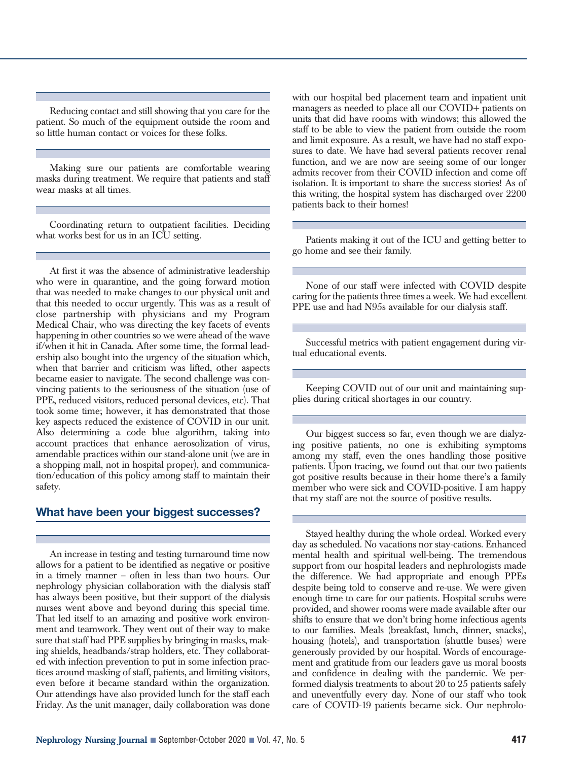Reducing contact and still showing that you care for the patient. So much of the equipment outside the room and so little human contact or voices for these folks.

Making sure our patients are comfortable wearing masks during treatment. We require that patients and staff wear masks at all times.

Coordinating return to outpatient facilities. Deciding what works best for us in an ICU setting.

At first it was the absence of administrative leadership who were in quarantine, and the going forward motion that was needed to make changes to our physical unit and that this needed to occur urgently. This was as a result of close partnership with physicians and my Program Medical Chair, who was directing the key facets of events happening in other countries so we were ahead of the wave if/when it hit in Canada. After some time, the formal leadership also bought into the urgency of the situation which, when that barrier and criticism was lifted, other aspects became easier to navigate. The second challenge was convincing patients to the seriousness of the situation (use of PPE, reduced visitors, reduced personal devices, etc). That took some time; however, it has demonstrated that those key aspects reduced the existence of COVID in our unit. Also determining a code blue algorithm, taking into account practices that enhance aerosolization of virus, amendable practices within our stand-alone unit (we are in a shopping mall, not in hospital proper), and communication/education of this policy among staff to maintain their safety.

## **What have been your biggest successes?**

An increase in testing and testing turnaround time now allows for a patient to be identified as negative or positive in a timely manner – often in less than two hours. Our nephrology physician collaboration with the dialysis staff has always been positive, but their support of the dialysis nurses went above and beyond during this special time. That led itself to an amazing and positive work environment and teamwork. They went out of their way to make sure that staff had PPE supplies by bringing in masks, making shields, headbands/strap holders, etc. They collaborated with infection prevention to put in some infection practices around masking of staff, patients, and limiting visitors, even before it became standard within the organization. Our attendings have also provided lunch for the staff each Friday. As the unit manager, daily collaboration was done with our hospital bed placement team and inpatient unit managers as needed to place all our COVID+ patients on units that did have rooms with windows; this allowed the staff to be able to view the patient from outside the room and limit exposure. As a result, we have had no staff exposures to date. We have had several patients recover renal function, and we are now are seeing some of our longer admits recover from their COVID infection and come off isolation. It is important to share the success stories! As of this writing, the hospital system has discharged over 2200 patients back to their homes!

Patients making it out of the ICU and getting better to go home and see their family.

None of our staff were infected with COVID despite caring for the patients three times a week. We had excellent PPE use and had N95s available for our dialysis staff.

Successful metrics with patient engagement during virtual educational events.

Keeping COVID out of our unit and maintaining supplies during critical shortages in our country.

Our biggest success so far, even though we are dialyzing positive patients, no one is exhibiting symptoms among my staff, even the ones handling those positive patients. Upon tracing, we found out that our two patients got positive results because in their home there's a family member who were sick and COVID-positive. I am happy that my staff are not the source of positive results.

Stayed healthy during the whole ordeal. Worked every day as scheduled. No vacations nor stay-cations. Enhanced mental health and spiritual well-being. The tremendous support from our hospital leaders and nephrologists made the difference. We had appropriate and enough PPEs despite being told to conserve and re-use. We were given enough time to care for our patients. Hospital scrubs were provided, and shower rooms were made available after our shifts to ensure that we don't bring home infectious agents to our families. Meals (breakfast, lunch, dinner, snacks), housing (hotels), and transportation (shuttle buses) were generously provided by our hospital. Words of encouragement and gratitude from our leaders gave us moral boosts and confidence in dealing with the pandemic. We performed dialysis treatments to about 20 to 25 patients safely and uneventfully every day. None of our staff who took care of COVID-19 patients became sick. Our nephrolo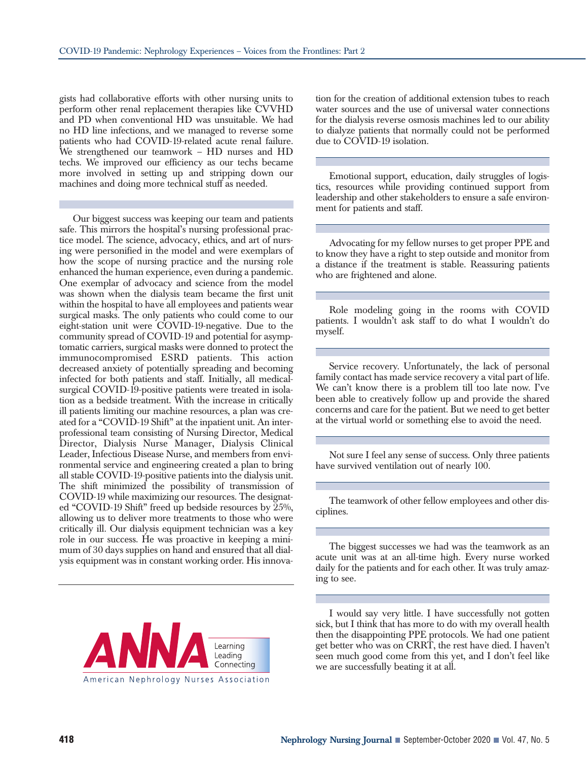gists had collaborative efforts with other nursing units to perform other renal replacement therapies like CVVHD and PD when conventional HD was unsuitable. We had no HD line infections, and we managed to reverse some patients who had COVID-19-related acute renal failure. We strengthened our teamwork – HD nurses and HD techs. We improved our efficiency as our techs became more involved in setting up and stripping down our machines and doing more technical stuff as needed.

Our biggest success was keeping our team and patients safe. This mirrors the hospital's nursing professional practice model. The science, advocacy, ethics, and art of nursing were personified in the model and were exemplars of how the scope of nursing practice and the nursing role enhanced the human experience, even during a pandemic. One exemplar of advocacy and science from the model was shown when the dialysis team became the first unit within the hospital to have all employees and patients wear surgical masks. The only patients who could come to our eight-station unit were COVID-19-negative. Due to the community spread of COVID-19 and potential for asymptomatic carriers, surgical masks were donned to protect the immunocompromised ESRD patients. This action decreased anxiety of potentially spreading and becoming infected for both patients and staff. Initially, all medicalsurgical COVID-19-positive patients were treated in isolation as a bedside treatment. With the increase in critically ill patients limiting our machine resources, a plan was created for a "COVID-19 Shift" at the inpatient unit. An interprofessional team consisting of Nursing Director, Medical Director, Dialysis Nurse Manager, Dialysis Clinical Leader, Infectious Disease Nurse, and members from environmental service and engineering created a plan to bring all stable COVID-19-positive patients into the dialysis unit. The shift minimized the possibility of transmission of COVID-19 while maximizing our resources. The designated "COVID-19 Shift" freed up bedside resources by 25%, allowing us to deliver more treatments to those who were critically ill. Our dialysis equipment technician was a key role in our success. He was proactive in keeping a minimum of 30 days supplies on hand and ensured that all dialysis equipment was in constant working order. His innova-



tion for the creation of additional extension tubes to reach water sources and the use of universal water connections for the dialysis reverse osmosis machines led to our ability to dialyze patients that normally could not be performed due to COVID-19 isolation.

Emotional support, education, daily struggles of logistics, resources while providing continued support from leadership and other stakeholders to ensure a safe environment for patients and staff.

Advocating for my fellow nurses to get proper PPE and to know they have a right to step outside and monitor from a distance if the treatment is stable. Reassuring patients who are frightened and alone.

Role modeling going in the rooms with COVID patients. I wouldn't ask staff to do what I wouldn't do myself.

Service recovery. Unfortunately, the lack of personal family contact has made service recovery a vital part of life. We can't know there is a problem till too late now. I've been able to creatively follow up and provide the shared concerns and care for the patient. But we need to get better at the virtual world or something else to avoid the need.

Not sure I feel any sense of success. Only three patients have survived ventilation out of nearly 100.

The teamwork of other fellow employees and other disciplines.

The biggest successes we had was the teamwork as an acute unit was at an all-time high. Every nurse worked daily for the patients and for each other. It was truly amazing to see.

I would say very little. I have successfully not gotten sick, but I think that has more to do with my overall health then the disappointing PPE protocols. We had one patient get better who was on CRRT, the rest have died. I haven't seen much good come from this yet, and I don't feel like we are successfully beating it at all.